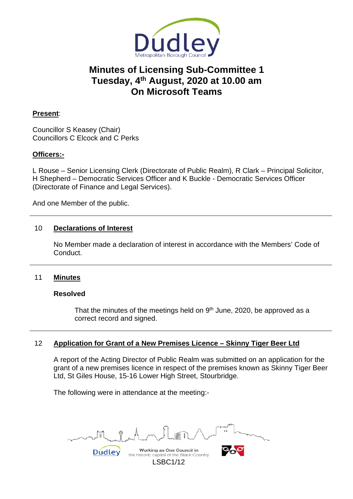

# **Minutes of Licensing Sub-Committee 1 Tuesday, 4th August, 2020 at 10.00 am On Microsoft Teams**

## **Present**:

Councillor S Keasey (Chair) Councillors C Elcock and C Perks

## **Officers:-**

L Rouse – Senior Licensing Clerk (Directorate of Public Realm), R Clark – Principal Solicitor, H Shepherd – Democratic Services Officer and K Buckle - Democratic Services Officer (Directorate of Finance and Legal Services).

And one Member of the public.

## 10 **Declarations of Interest**

No Member made a declaration of interest in accordance with the Members' Code of Conduct.

### 11 **Minutes**

#### **Resolved**

That the minutes of the meetings held on  $9<sup>th</sup>$  June, 2020, be approved as a correct record and signed.

### 12 **Application for Grant of a New Premises Licence – Skinny Tiger Beer Ltd**

A report of the Acting Director of Public Realm was submitted on an application for the grant of a new premises licence in respect of the premises known as Skinny Tiger Beer Ltd, St Giles House, 15-16 Lower High Street, Stourbridge.

The following were in attendance at the meeting:-

Working as One Council in Dudley

the historic capital of the Black Country LSBC1/12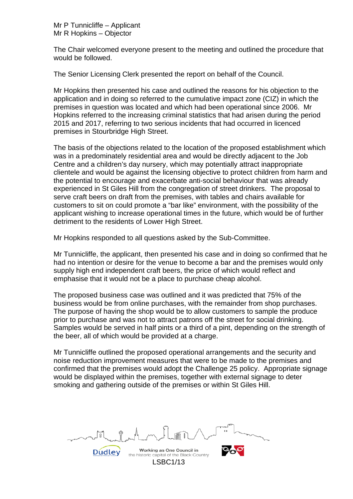Mr P Tunnicliffe – Applicant Mr R Hopkins – Objector

The Chair welcomed everyone present to the meeting and outlined the procedure that would be followed.

The Senior Licensing Clerk presented the report on behalf of the Council.

Mr Hopkins then presented his case and outlined the reasons for his objection to the application and in doing so referred to the cumulative impact zone (CIZ) in which the premises in question was located and which had been operational since 2006. Mr Hopkins referred to the increasing criminal statistics that had arisen during the period 2015 and 2017, referring to two serious incidents that had occurred in licenced premises in Stourbridge High Street.

The basis of the objections related to the location of the proposed establishment which was in a predominately residential area and would be directly adjacent to the Job Centre and a children's day nursery, which may potentially attract inappropriate clientele and would be against the licensing objective to protect children from harm and the potential to encourage and exacerbate anti-social behaviour that was already experienced in St Giles Hill from the congregation of street drinkers. The proposal to serve craft beers on draft from the premises, with tables and chairs available for customers to sit on could promote a "bar like" environment, with the possibility of the applicant wishing to increase operational times in the future, which would be of further detriment to the residents of Lower High Street.

Mr Hopkins responded to all questions asked by the Sub-Committee.

Mr Tunnicliffe, the applicant, then presented his case and in doing so confirmed that he had no intention or desire for the venue to become a bar and the premises would only supply high end independent craft beers, the price of which would reflect and emphasise that it would not be a place to purchase cheap alcohol.

The proposed business case was outlined and it was predicted that 75% of the business would be from online purchases, with the remainder from shop purchases. The purpose of having the shop would be to allow customers to sample the produce prior to purchase and was not to attract patrons off the street for social drinking. Samples would be served in half pints or a third of a pint, depending on the strength of the beer, all of which would be provided at a charge.

Mr Tunnicliffe outlined the proposed operational arrangements and the security and noise reduction improvement measures that were to be made to the premises and confirmed that the premises would adopt the Challenge 25 policy. Appropriate signage would be displayed within the premises, together with external signage to deter smoking and gathering outside of the premises or within St Giles Hill.

Working as One Council in

the historic capital of the Black Country LSBC1/13

**Dudley**